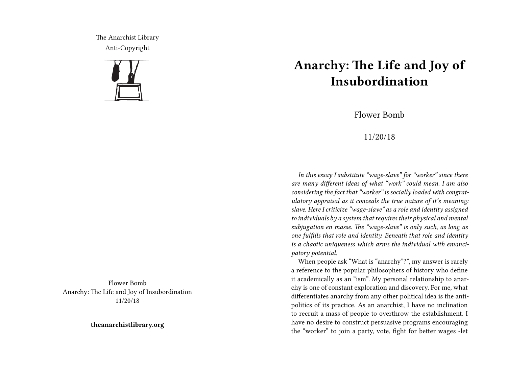The Anarchist Library Anti-Copyright



Flower Bomb Anarchy: The Life and Joy of Insubordination 11/20/18

**theanarchistlibrary.org**

## **Anarchy: The Life and Joy of Insubordination**

Flower Bomb

## 11/20/18

*In this essay I substitute "wage-slave" for "worker" since there are many different ideas of what "work" could mean. I am also considering the fact that "worker" is socially loaded with congratulatory appraisal as it conceals the true nature of it's meaning: slave. Here I criticize "wage-slave" as a role and identity assigned to individuals by a system that requires their physical and mental subjugation en masse. The "wage-slave" is only such, as long as one fulfills that role and identity. Beneath that role and identity is a chaotic uniqueness which arms the individual with emancipatory potential.*

When people ask "What is "anarchy"?", my answer is rarely a reference to the popular philosophers of history who define it academically as an "ism". My personal relationship to anarchy is one of constant exploration and discovery. For me, what differentiates anarchy from any other political idea is the antipolitics of its practice. As an anarchist, I have no inclination to recruit a mass of people to overthrow the establishment. I have no desire to construct persuasive programs encouraging the "worker" to join a party, vote, fight for better wages -let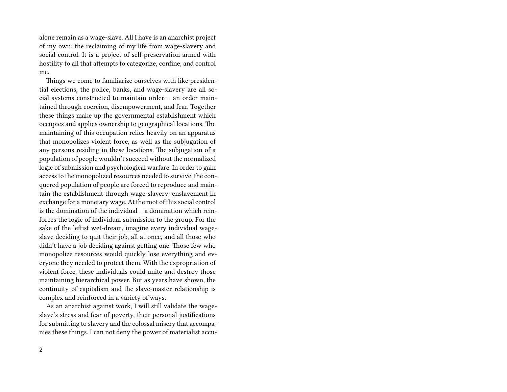alone remain as a wage-slave. All I have is an anarchist project of my own: the reclaiming of my life from wage-slavery and social control. It is a project of self-preservation armed with hostility to all that attempts to categorize, confine, and control me.

Things we come to familiarize ourselves with like presidential elections, the police, banks, and wage-slavery are all social systems constructed to maintain order – an order maintained through coercion, disempowerment, and fear. Together these things make up the governmental establishment which occupies and applies ownership to geographical locations. The maintaining of this occupation relies heavily on an apparatus that monopolizes violent force, as well as the subjugation of any persons residing in these locations. The subjugation of a population of people wouldn't succeed without the normalized logic of submission and psychological warfare. In order to gain access to the monopolized resources needed to survive, the conquered population of people are forced to reproduce and maintain the establishment through wage-slavery: enslavement in exchange for a monetary wage. At the root of this social control is the domination of the individual – a domination which reinforces the logic of individual submission to the group. For the sake of the leftist wet-dream, imagine every individual wageslave deciding to quit their job, all at once, and all those who didn't have a job deciding against getting one. Those few who monopolize resources would quickly lose everything and everyone they needed to protect them. With the expropriation of violent force, these individuals could unite and destroy those maintaining hierarchical power. But as years have shown, the continuity of capitalism and the slave-master relationship is complex and reinforced in a variety of ways.

As an anarchist against work, I will still validate the wageslave's stress and fear of poverty, their personal justifications for submitting to slavery and the colossal misery that accompanies these things. I can not deny the power of materialist accu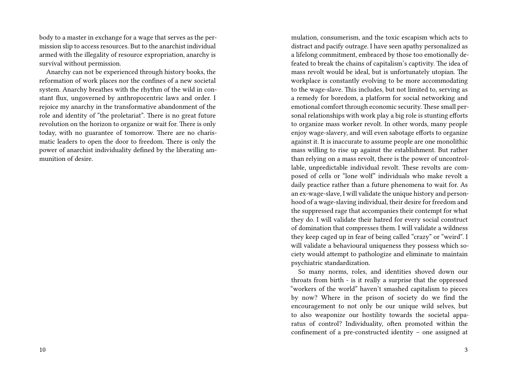body to a master in exchange for a wage that serves as the permission slip to access resources. But to the anarchist individual armed with the illegality of resource expropriation, anarchy is survival without permission.

Anarchy can not be experienced through history books, the reformation of work places nor the confines of a new societal system. Anarchy breathes with the rhythm of the wild in constant flux, ungoverned by anthropocentric laws and order. I rejoice my anarchy in the transformative abandonment of the role and identity of "the proletariat". There is no great future revolution on the horizon to organize or wait for. There is only today, with no guarantee of tomorrow. There are no charismatic leaders to open the door to freedom. There is only the power of anarchist individuality defined by the liberating ammunition of desire.

mulation, consumerism, and the toxic escapism which acts to distract and pacify outrage. I have seen apathy personalized as a lifelong commitment, embraced by those too emotionally defeated to break the chains of capitalism's captivity. The idea of mass revolt would be ideal, but is unfortunately utopian. The workplace is constantly evolving to be more accommodating to the wage-slave. This includes, but not limited to, serving as a remedy for boredom, a platform for social networking and emotional comfort through economic security. These small personal relationships with work play a big role is stunting efforts to organize mass worker revolt. In other words, many people enjoy wage-slavery, and will even sabotage efforts to organize against it. It is inaccurate to assume people are one monolithic mass willing to rise up against the establishment. But rather than relying on a mass revolt, there is the power of uncontrollable, unpredictable individual revolt. These revolts are composed of cells or "lone wolf" individuals who make revolt a daily practice rather than a future phenomena to wait for. As an ex-wage-slave, I will validate the unique history and personhood of a wage-slaving individual, their desire for freedom and the suppressed rage that accompanies their contempt for what they do. I will validate their hatred for every social construct of domination that compresses them. I will validate a wildness they keep caged up in fear of being called "crazy" or "weird". I will validate a behavioural uniqueness they possess which society would attempt to pathologize and eliminate to maintain psychiatric standardization.

So many norms, roles, and identities shoved down our throats from birth - is it really a surprise that the oppressed "workers of the world" haven't smashed capitalism to pieces by now? Where in the prison of society do we find the encouragement to not only be our unique wild selves, but to also weaponize our hostility towards the societal apparatus of control? Individuality, often promoted within the confinement of a pre-constructed identity – one assigned at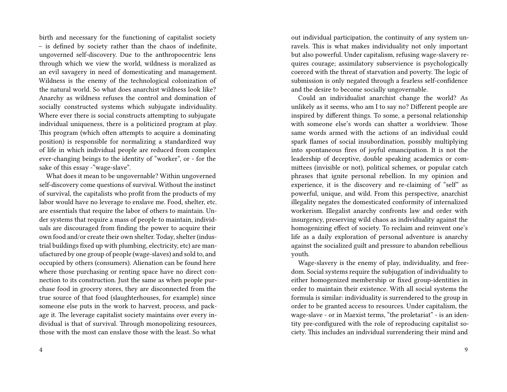birth and necessary for the functioning of capitalist society – is defined by society rather than the chaos of indefinite, ungoverned self-discovery. Due to the anthropocentric lens through which we view the world, wildness is moralized as an evil savagery in need of domesticating and management. Wildness is the enemy of the technological colonization of the natural world. So what does anarchist wildness look like? Anarchy as wildness refuses the control and domination of socially constructed systems which subjugate individuality. Where ever there is social constructs attempting to subjugate individual uniqueness, there is a politicized program at play. This program (which often attempts to acquire a dominating position) is responsible for normalizing a standardized way of life in which individual people are reduced from complex ever-changing beings to the identity of "worker", or - for the sake of this essay -"wage-slave".

What does it mean to be ungovernable? Within ungoverned self-discovery come questions of survival. Without the instinct of survival, the capitalists who profit from the products of my labor would have no leverage to enslave me. Food, shelter, etc. are essentials that require the labor of others to maintain. Under systems that require a mass of people to maintain, individuals are discouraged from finding the power to acquire their own food and/or create their own shelter. Today, shelter (industrial buildings fixed up with plumbing, electricity, etc) are manufactured by one group of people (wage-slaves) and sold to, and occupied by others (consumers). Alienation can be found here where those purchasing or renting space have no direct connection to its construction. Just the same as when people purchase food in grocery stores, they are disconnected from the true source of that food (slaughterhouses, for example) since someone else puts in the work to harvest, process, and package it. The leverage capitalist society maintains over every individual is that of survival. Through monopolizing resources, those with the most can enslave those with the least. So what

out individual participation, the continuity of any system unravels. This is what makes individuality not only important but also powerful. Under capitalism, refusing wage-slavery requires courage; assimilatory subservience is psychologically coerced with the threat of starvation and poverty. The logic of submission is only negated through a fearless self-confidence and the desire to become socially ungovernable.

Could an individualist anarchist change the world? As unlikely as it seems, who am I to say no? Different people are inspired by different things. To some, a personal relationship with someone else's words can shatter a worldview. Those same words armed with the actions of an individual could spark flames of social insubordination, possibly multiplying into spontaneous fires of joyful emancipation. It is not the leadership of deceptive, double speaking academics or committees (invisible or not), political schemes, or popular catch phrases that ignite personal rebellion. In my opinion and experience, it is the discovery and re-claiming of "self" as powerful, unique, and wild. From this perspective, anarchist illegality negates the domesticated conformity of internalized workerism. Illegalist anarchy confronts law and order with insurgency, preserving wild chaos as individuality against the homogenizing effect of society. To reclaim and reinvent one's life as a daily exploration of personal adventure is anarchy against the socialized guilt and pressure to abandon rebellious youth.

Wage-slavery is the enemy of play, individuality, and freedom. Social systems require the subjugation of individuality to either homogenized membership or fixed group-identities in order to maintain their existence. With all social systems the formula is similar: individuality is surrendered to the group in order to be granted access to resources. Under capitalism, the wage-slave - or in Marxist terms, "the proletariat" - is an identity pre-configured with the role of reproducing capitalist society. This includes an individual surrendering their mind and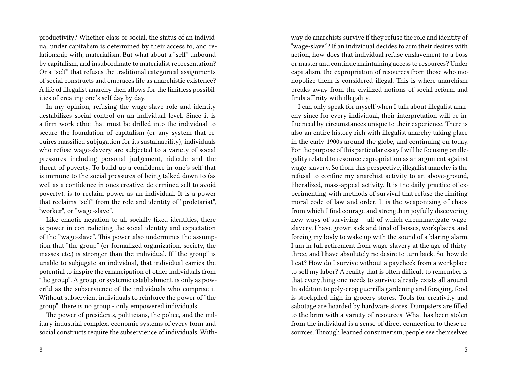productivity? Whether class or social, the status of an individual under capitalism is determined by their access to, and relationship with, materialism. But what about a "self" unbound by capitalism, and insubordinate to materialist representation? Or a "self" that refuses the traditional categorical assignments of social constructs and embraces life as anarchistic existence? A life of illegalist anarchy then allows for the limitless possibilities of creating one's self day by day.

In my opinion, refusing the wage-slave role and identity destabilizes social control on an individual level. Since it is a firm work ethic that must be drilled into the individual to secure the foundation of capitalism (or any system that requires massified subjugation for its sustainability), individuals who refuse wage-slavery are subjected to a variety of social pressures including personal judgement, ridicule and the threat of poverty. To build up a confidence in one's self that is immune to the social pressures of being talked down to (as well as a confidence in ones creative, determined self to avoid poverty), is to reclaim power as an individual. It is a power that reclaims "self" from the role and identity of "proletariat", "worker", or "wage-slave".

Like chaotic negation to all socially fixed identities, there is power in contradicting the social identity and expectation of the "wage-slave". This power also undermines the assumption that "the group" (or formalized organization, society, the masses etc.) is stronger than the individual. If "the group" is unable to subjugate an individual, that individual carries the potential to inspire the emancipation of other individuals from "the group". A group, or systemic establishment, is only as powerful as the subservience of the individuals who comprise it. Without subservient individuals to reinforce the power of "the group", there is no group - only empowered individuals.

The power of presidents, politicians, the police, and the military industrial complex, economic systems of every form and social constructs require the subservience of individuals. Withway do anarchists survive if they refuse the role and identity of "wage-slave"? If an individual decides to arm their desires with action, how does that individual refuse enslavement to a boss or master and continue maintaining access to resources? Under capitalism, the expropriation of resources from those who monopolize them is considered illegal. This is where anarchism breaks away from the civilized notions of social reform and finds affinity with illegality.

I can only speak for myself when I talk about illegalist anarchy since for every individual, their interpretation will be influenced by circumstances unique to their experience. There is also an entire history rich with illegalist anarchy taking place in the early 1900s around the globe, and continuing on today. For the purpose of this particular essay I will be focusing on illegality related to resource expropriation as an argument against wage-slavery. So from this perspective, illegalist anarchy is the refusal to confine my anarchist activity to an above-ground, liberalized, mass-appeal activity. It is the daily practice of experimenting with methods of survival that refuse the limiting moral code of law and order. It is the weaponizing of chaos from which I find courage and strength in joyfully discovering new ways of surviving – all of which circumnavigate wageslavery. I have grown sick and tired of bosses, workplaces, and forcing my body to wake up with the sound of a blaring alarm. I am in full retirement from wage-slavery at the age of thirtythree, and I have absolutely no desire to turn back. So, how do I eat? How do I survive without a paycheck from a workplace to sell my labor? A reality that is often difficult to remember is that everything one needs to survive already exists all around. In addition to poly-crop guerrilla gardening and foraging, food is stockpiled high in grocery stores. Tools for creativity and sabotage are hoarded by hardware stores. Dumpsters are filled to the brim with a variety of resources. What has been stolen from the individual is a sense of direct connection to these resources. Through learned consumerism, people see themselves